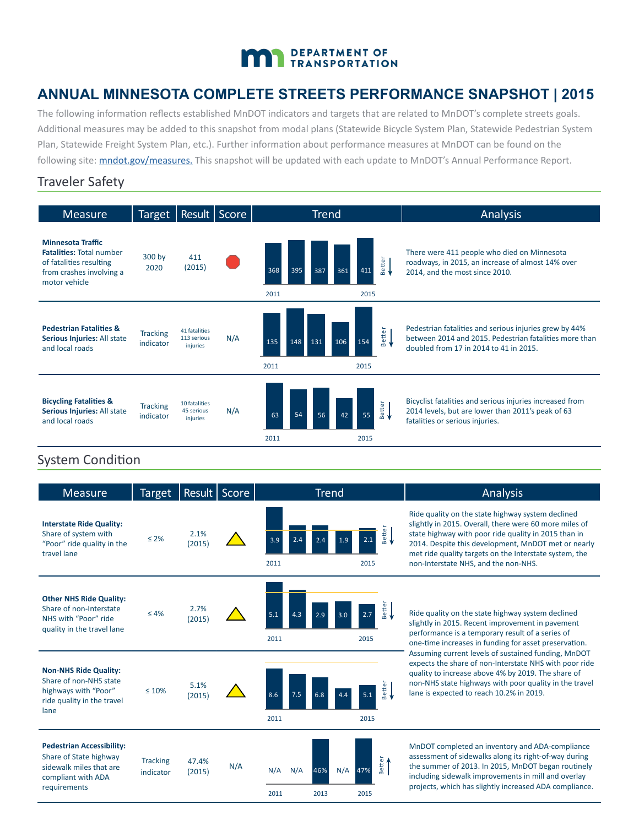# DEPARTMENT OF TRANSPORTATION

## **ANNUAL MINNESOTA COMPLETE STREETS PERFORMANCE SNAPSHOT | 2015**

The following information reflects established MnDOT indicators and targets that are related to MnDOT's complete streets goals. Additional measures may be added to this snapshot from modal plans (Statewide Bicycle System Plan, Statewide Pedestrian System Plan, Statewide Freight System Plan, etc.). Further information about performance measures at MnDOT can be found on the following site: mndot.gov/[measures](http://www.dot.state.mn.us/measures/). This snapshot will be updated with each update to MnDOT's Annual Performance Report.

#### Traveler Safety

| <b>Measure</b>                                                                                                                      | Target   Result   Score      |                                          |     | <b>Trend</b>                                    |               | Analysis                                                                                                                                                   |
|-------------------------------------------------------------------------------------------------------------------------------------|------------------------------|------------------------------------------|-----|-------------------------------------------------|---------------|------------------------------------------------------------------------------------------------------------------------------------------------------------|
| <b>Minnesota Traffic</b><br><b>Fatalities: Total number</b><br>of fatalities resulting<br>from crashes involving a<br>motor vehicle | 300 by<br>2020               | 411<br>(2015)                            |     | 368<br>395<br>387<br>361<br>411<br>2011<br>2015 | <b>Better</b> | There were 411 people who died on Minnesota<br>roadways, in 2015, an increase of almost 14% over<br>2014, and the most since 2010.                         |
| <b>Pedestrian Fatalities &amp;</b><br>Serious Injuries: All state<br>and local roads                                                | <b>Tracking</b><br>indicator | 41 fatalities<br>113 serious<br>injuries | N/A | 154<br>106<br>135<br>131<br>148<br>2011<br>2015 | Better<br>    | Pedestrian fatalities and serious injuries grew by 44%<br>between 2014 and 2015. Pedestrian fatalities more than<br>doubled from 17 in 2014 to 41 in 2015. |
| <b>Bicycling Fatalities &amp;</b><br>Serious Injuries: All state<br>and local roads                                                 | <b>Tracking</b><br>indicator | 10 fatalities<br>45 serious<br>injuries  | N/A | 54<br>63<br>55<br>56<br>42<br>2011<br>2015      | <b>Better</b> | Bicyclist fatalities and serious injuries increased from<br>2014 levels, but are lower than 2011's peak of 63<br>fatalities or serious injuries.           |

## System Condition

| <b>Measure</b>                                                                                                              | <b>Target</b>                |                 | Result   Score | <b>Trend</b>                                                              | Analysis                                                                                                                                                                                                                                                                                                                     |
|-----------------------------------------------------------------------------------------------------------------------------|------------------------------|-----------------|----------------|---------------------------------------------------------------------------|------------------------------------------------------------------------------------------------------------------------------------------------------------------------------------------------------------------------------------------------------------------------------------------------------------------------------|
| <b>Interstate Ride Quality:</b><br>Share of system with<br>"Poor" ride quality in the<br>travel lane                        | $\leq 2\%$                   | 2.1%<br>(2015)  |                | Better<br><del>•</del><br>2.1<br>2.4<br>3.9<br>2.4<br>1.9<br>2011<br>2015 | Ride quality on the state highway system declined<br>slightly in 2015. Overall, there were 60 more miles of<br>state highway with poor ride quality in 2015 than in<br>2014. Despite this development, MnDOT met or nearly<br>met ride quality targets on the Interstate system, the<br>non-Interstate NHS, and the non-NHS. |
| <b>Other NHS Ride Quality:</b><br>Share of non-Interstate<br>NHS with "Poor" ride<br>quality in the travel lane             | $\leq 4\%$                   | 2.7%<br>(2015)  |                | Better<br><del>•</del><br>5.1<br>4.3<br>2.7<br>2.9<br>3.0<br>2011<br>2015 | Ride quality on the state highway system declined<br>slightly in 2015. Recent improvement in pavement<br>performance is a temporary result of a series of<br>one-time increases in funding for asset preservation.                                                                                                           |
| <b>Non-NHS Ride Quality:</b><br>Share of non-NHS state<br>highways with "Poor"<br>ride quality in the travel<br>lane        | $\leq 10\%$                  | 5.1%<br>(2015)  |                | Better<br><del>(</del><br>7.5<br>8.6<br>6.8<br>5.1<br>2011<br>2015        | Assuming current levels of sustained funding, MnDOT<br>expects the share of non-Interstate NHS with poor ride<br>quality to increase above 4% by 2019. The share of<br>non-NHS state highways with poor quality in the travel<br>lane is expected to reach 10.2% in 2019.                                                    |
| <b>Pedestrian Accessibility:</b><br>Share of State highway<br>sidewalk miles that are<br>compliant with ADA<br>requirements | <b>Tracking</b><br>indicator | 47.4%<br>(2015) | N/A            | <b>Better</b><br>N/A<br>N/A<br>N/A<br>46%<br>47%<br>2011<br>2013<br>2015  | MnDOT completed an inventory and ADA-compliance<br>assessment of sidewalks along its right-of-way during<br>the summer of 2013. In 2015, MnDOT began routinely<br>including sidewalk improvements in mill and overlay<br>projects, which has slightly increased ADA compliance.                                              |